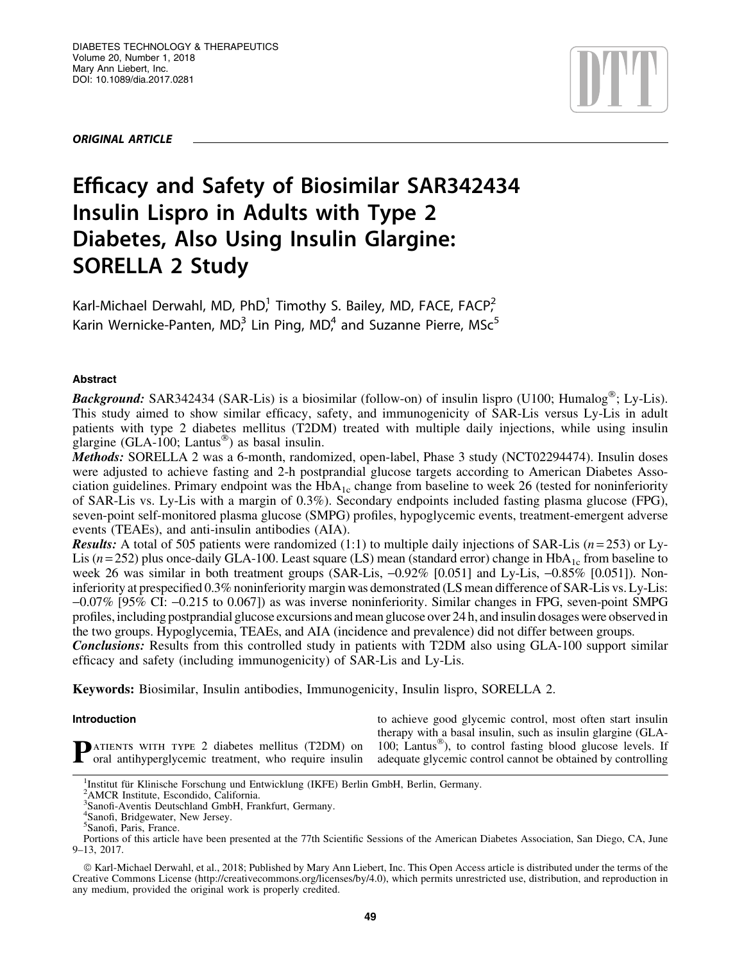ORIGINAL ARTICLE



# Efficacy and Safety of Biosimilar SAR342434 Insulin Lispro in Adults with Type 2 Diabetes, Also Using Insulin Glargine: SORELLA 2 Study

Karl-Michael Derwahl, MD, PhD,<sup>1</sup> Timothy S. Bailey, MD, FACE, FACP,<sup>2</sup> Karin Wernicke-Panten,  $MD<sub>1</sub><sup>3</sup>$  Lin Ping,  $MD<sub>1</sub><sup>4</sup>$  and Suzanne Pierre,  $MSC<sup>5</sup>$ 

# Abstract

Background: SAR342434 (SAR-Lis) is a biosimilar (follow-on) of insulin lispro (U100; Humalog®; Ly-Lis). This study aimed to show similar efficacy, safety, and immunogenicity of SAR-Lis versus Ly-Lis in adult patients with type 2 diabetes mellitus (T2DM) treated with multiple daily injections, while using insulin glargine (GLA-100; Lantus-) as basal insulin.

Methods: SORELLA 2 was a 6-month, randomized, open-label, Phase 3 study (NCT02294474). Insulin doses were adjusted to achieve fasting and 2-h postprandial glucose targets according to American Diabetes Association guidelines. Primary endpoint was the  $HbA_{1c}$  change from baseline to week 26 (tested for noninferiority of SAR-Lis vs. Ly-Lis with a margin of 0.3%). Secondary endpoints included fasting plasma glucose (FPG), seven-point self-monitored plasma glucose (SMPG) profiles, hypoglycemic events, treatment-emergent adverse events (TEAEs), and anti-insulin antibodies (AIA).

Results: A total of 505 patients were randomized (1:1) to multiple daily injections of SAR-Lis (*n* = 253) or Ly-Lis ( $n = 252$ ) plus once-daily GLA-100. Least square (LS) mean (standard error) change in  $HbA_{1c}$  from baseline to week 26 was similar in both treatment groups (SAR-Lis,  $-0.92\%$  [0.051] and Ly-Lis,  $-0.85\%$  [0.051]). Noninferiority at prespecified 0.3% noninferiority margin was demonstrated (LS mean difference of SAR-Lis vs. Ly-Lis: -0.07% [95% CI: -0.215 to 0.067]) as was inverse noninferiority. Similar changes in FPG, seven-point SMPG profiles, including postprandial glucose excursions and mean glucose over 24 h, andinsulin dosages were observed in the two groups. Hypoglycemia, TEAEs, and AIA (incidence and prevalence) did not differ between groups.

**Conclusions:** Results from this controlled study in patients with T2DM also using GLA-100 support similar efficacy and safety (including immunogenicity) of SAR-Lis and Ly-Lis.

Keywords: Biosimilar, Insulin antibodies, Immunogenicity, Insulin lispro, SORELLA 2.

# Introduction

**P**ATIENTS WITH TYPE 2 diabetes mellitus (T2DM) on oral antihyperglycemic treatment, who require insulin

to achieve good glycemic control, most often start insulin therapy with a basal insulin, such as insulin glargine (GLA-100; Lantus®), to control fasting blood glucose levels. If adequate glycemic control cannot be obtained by controlling

<sup>&</sup>lt;sup>1</sup>Institut für Klinische Forschung und Entwicklung (IKFE) Berlin GmbH, Berlin, Germany.

<sup>&</sup>lt;sup>2</sup>AMCR Institute, Escondido, California.<br><sup>3</sup>Sanofi-Aventis Deutschland GmbH, Frankfurt, Germany.

<sup>4</sup> Sanofi, Bridgewater, New Jersey.

<sup>&</sup>lt;sup>5</sup>Sanofi, Paris, France.

Portions of this article have been presented at the 77th Scientific Sessions of the American Diabetes Association, San Diego, CA, June 9–13, 2017.

ª Karl-Michael Derwahl, et al., 2018; Published by Mary Ann Liebert, Inc. This Open Access article is distributed under the terms of the Creative Commons License (http://creativecommons.org/licenses/by/4.0), which permits unrestricted use, distribution, and reproduction in any medium, provided the original work is properly credited.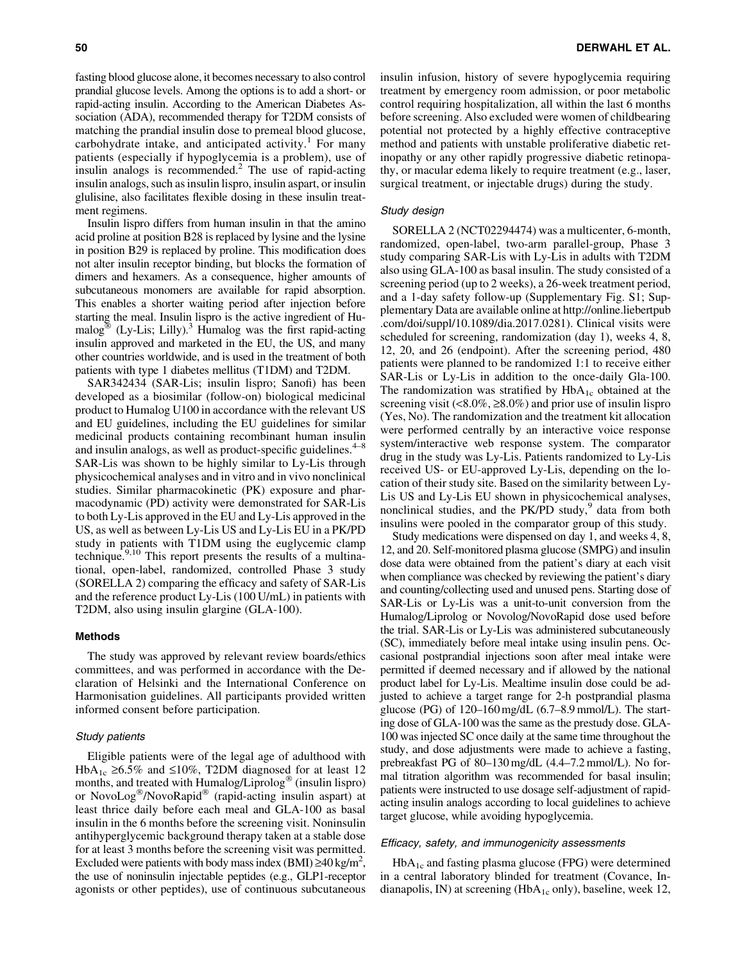fasting blood glucose alone, it becomes necessary to also control prandial glucose levels. Among the options is to add a short- or rapid-acting insulin. According to the American Diabetes Association (ADA), recommended therapy for T2DM consists of matching the prandial insulin dose to premeal blood glucose, carbohydrate intake, and anticipated activity.<sup>1</sup> For many patients (especially if hypoglycemia is a problem), use of insulin analogs is recommended.<sup>2</sup> The use of rapid-acting insulin analogs, such as insulin lispro, insulin aspart, or insulin glulisine, also facilitates flexible dosing in these insulin treatment regimens.

Insulin lispro differs from human insulin in that the amino acid proline at position B28 is replaced by lysine and the lysine in position B29 is replaced by proline. This modification does not alter insulin receptor binding, but blocks the formation of dimers and hexamers. As a consequence, higher amounts of subcutaneous monomers are available for rapid absorption. This enables a shorter waiting period after injection before starting the meal. Insulin lispro is the active ingredient of Humalog<sup>®</sup> (Ly-Lis; Lilly).<sup>3</sup> Humalog was the first rapid-acting insulin approved and marketed in the EU, the US, and many other countries worldwide, and is used in the treatment of both patients with type 1 diabetes mellitus (T1DM) and T2DM.

SAR342434 (SAR-Lis; insulin lispro; Sanofi) has been developed as a biosimilar (follow-on) biological medicinal product to Humalog U100 in accordance with the relevant US and EU guidelines, including the EU guidelines for similar medicinal products containing recombinant human insulin and insulin analogs, as well as product-specific guidelines. $4-$ SAR-Lis was shown to be highly similar to Ly-Lis through physicochemical analyses and in vitro and in vivo nonclinical studies. Similar pharmacokinetic (PK) exposure and pharmacodynamic (PD) activity were demonstrated for SAR-Lis to both Ly-Lis approved in the EU and Ly-Lis approved in the US, as well as between Ly-Lis US and Ly-Lis EU in a PK/PD study in patients with T1DM using the euglycemic clamp technique.<sup>9,10</sup> This report presents the results of a multinational, open-label, randomized, controlled Phase 3 study (SORELLA 2) comparing the efficacy and safety of SAR-Lis and the reference product Ly-Lis (100 U/mL) in patients with T2DM, also using insulin glargine (GLA-100).

#### Methods

The study was approved by relevant review boards/ethics committees, and was performed in accordance with the Declaration of Helsinki and the International Conference on Harmonisation guidelines. All participants provided written informed consent before participation.

#### Study patients

Eligible patients were of the legal age of adulthood with HbA<sub>1c</sub>  $\geq$ 6.5% and  $\leq$ 10%, T2DM diagnosed for at least 12 months, and treated with Humalog/Liprolog<sup>®</sup> (insulin lispro) or NovoLog<sup>®</sup>/NovoRapid<sup>®</sup> (rapid-acting insulin aspart) at least thrice daily before each meal and GLA-100 as basal insulin in the 6 months before the screening visit. Noninsulin antihyperglycemic background therapy taken at a stable dose for at least 3 months before the screening visit was permitted. Excluded were patients with body mass index (BMI)  $\geq 40$  kg/m<sup>2</sup>, the use of noninsulin injectable peptides (e.g., GLP1-receptor agonists or other peptides), use of continuous subcutaneous insulin infusion, history of severe hypoglycemia requiring treatment by emergency room admission, or poor metabolic control requiring hospitalization, all within the last 6 months before screening. Also excluded were women of childbearing potential not protected by a highly effective contraceptive method and patients with unstable proliferative diabetic retinopathy or any other rapidly progressive diabetic retinopathy, or macular edema likely to require treatment (e.g., laser, surgical treatment, or injectable drugs) during the study.

#### Study design

SORELLA 2 (NCT02294474) was a multicenter, 6-month, randomized, open-label, two-arm parallel-group, Phase 3 study comparing SAR-Lis with Ly-Lis in adults with T2DM also using GLA-100 as basal insulin. The study consisted of a screening period (up to 2 weeks), a 26-week treatment period, and a 1-day safety follow-up (Supplementary Fig. S1; Supplementary Data are available online at http://online.liebertpub .com/doi/suppl/10.1089/dia.2017.0281). Clinical visits were scheduled for screening, randomization (day 1), weeks 4, 8, 12, 20, and 26 (endpoint). After the screening period, 480 patients were planned to be randomized 1:1 to receive either SAR-Lis or Ly-Lis in addition to the once-daily Gla-100. The randomization was stratified by  $HbA_{1c}$  obtained at the screening visit  $(0.8.0\% , \ge 8.0\%)$  and prior use of insulin lispro (Yes, No). The randomization and the treatment kit allocation were performed centrally by an interactive voice response system/interactive web response system. The comparator drug in the study was Ly-Lis. Patients randomized to Ly-Lis received US- or EU-approved Ly-Lis, depending on the location of their study site. Based on the similarity between Ly-Lis US and Ly-Lis EU shown in physicochemical analyses, nonclinical studies, and the  $PK/PD$  study, $9$  data from both insulins were pooled in the comparator group of this study.

Study medications were dispensed on day 1, and weeks 4, 8, 12, and 20. Self-monitored plasma glucose (SMPG) and insulin dose data were obtained from the patient's diary at each visit when compliance was checked by reviewing the patient's diary and counting/collecting used and unused pens. Starting dose of SAR-Lis or Ly-Lis was a unit-to-unit conversion from the Humalog/Liprolog or Novolog/NovoRapid dose used before the trial. SAR-Lis or Ly-Lis was administered subcutaneously (SC), immediately before meal intake using insulin pens. Occasional postprandial injections soon after meal intake were permitted if deemed necessary and if allowed by the national product label for Ly-Lis. Mealtime insulin dose could be adjusted to achieve a target range for 2-h postprandial plasma glucose (PG) of 120–160 mg/dL (6.7–8.9 mmol/L). The starting dose of GLA-100 was the same as the prestudy dose. GLA-100 was injected SC once daily at the same time throughout the study, and dose adjustments were made to achieve a fasting, prebreakfast PG of 80–130 mg/dL (4.4–7.2 mmol/L). No formal titration algorithm was recommended for basal insulin; patients were instructed to use dosage self-adjustment of rapidacting insulin analogs according to local guidelines to achieve target glucose, while avoiding hypoglycemia.

## Efficacy, safety, and immunogenicity assessments

 $HbA_{1c}$  and fasting plasma glucose (FPG) were determined in a central laboratory blinded for treatment (Covance, Indianapolis, IN) at screening (HbA<sub>1c</sub> only), baseline, week 12,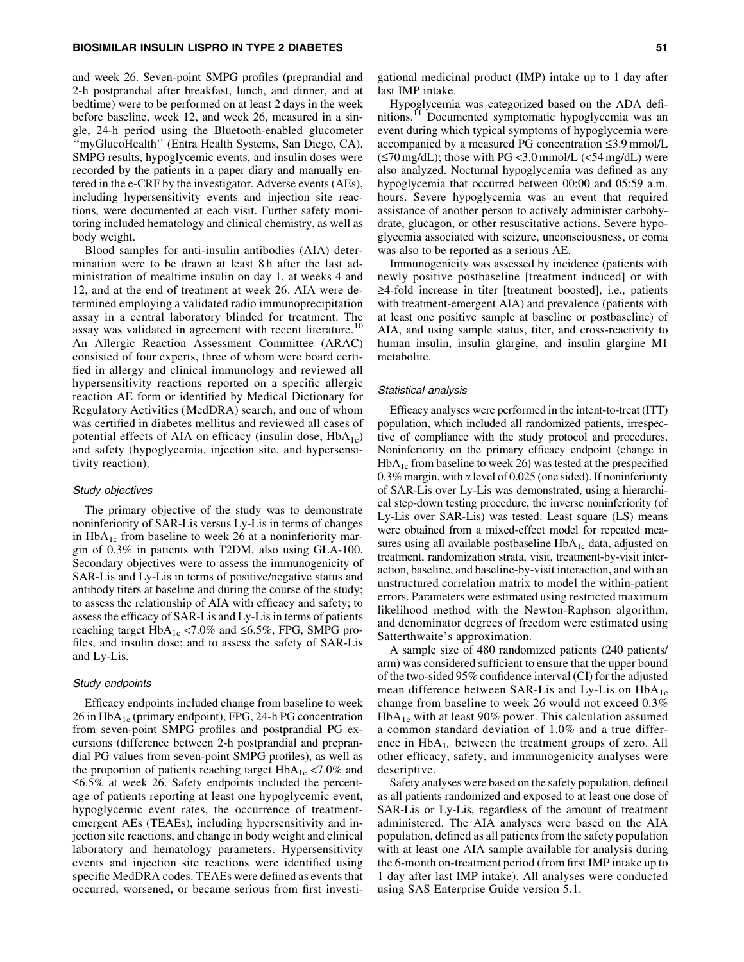#### BIOSIMILAR INSULIN LISPRO IN TYPE 2 DIABETES 51

and week 26. Seven-point SMPG profiles (preprandial and 2-h postprandial after breakfast, lunch, and dinner, and at bedtime) were to be performed on at least 2 days in the week before baseline, week 12, and week 26, measured in a single, 24-h period using the Bluetooth-enabled glucometer ''myGlucoHealth'' (Entra Health Systems, San Diego, CA). SMPG results, hypoglycemic events, and insulin doses were recorded by the patients in a paper diary and manually entered in the e-CRF by the investigator. Adverse events (AEs), including hypersensitivity events and injection site reactions, were documented at each visit. Further safety monitoring included hematology and clinical chemistry, as well as body weight.

Blood samples for anti-insulin antibodies (AIA) determination were to be drawn at least 8 h after the last administration of mealtime insulin on day 1, at weeks 4 and 12, and at the end of treatment at week 26. AIA were determined employing a validated radio immunoprecipitation assay in a central laboratory blinded for treatment. The assay was validated in agreement with recent literature.<sup>10</sup> An Allergic Reaction Assessment Committee (ARAC) consisted of four experts, three of whom were board certified in allergy and clinical immunology and reviewed all hypersensitivity reactions reported on a specific allergic reaction AE form or identified by Medical Dictionary for Regulatory Activities (MedDRA) search, and one of whom was certified in diabetes mellitus and reviewed all cases of potential effects of AIA on efficacy (insulin dose,  $HbA_{1c}$ ) and safety (hypoglycemia, injection site, and hypersensitivity reaction).

#### Study objectives

The primary objective of the study was to demonstrate noninferiority of SAR-Lis versus Ly-Lis in terms of changes in  $HbA_{1c}$  from baseline to week 26 at a noninferiority margin of 0.3% in patients with T2DM, also using GLA-100. Secondary objectives were to assess the immunogenicity of SAR-Lis and Ly-Lis in terms of positive/negative status and antibody titers at baseline and during the course of the study; to assess the relationship of AIA with efficacy and safety; to assess the efficacy of SAR-Lis and Ly-Lis in terms of patients reaching target  $HbA_{1c}$  <7.0% and ≤6.5%, FPG, SMPG profiles, and insulin dose; and to assess the safety of SAR-Lis and Ly-Lis.

#### Study endpoints

Efficacy endpoints included change from baseline to week 26 in  $HbA_{1c}$  (primary endpoint), FPG, 24-h PG concentration from seven-point SMPG profiles and postprandial PG excursions (difference between 2-h postprandial and preprandial PG values from seven-point SMPG profiles), as well as the proportion of patients reaching target  $HbA_{1c} < 7.0\%$  and  $\leq 6.5\%$  at week 26. Safety endpoints included the percentage of patients reporting at least one hypoglycemic event, hypoglycemic event rates, the occurrence of treatmentemergent AEs (TEAEs), including hypersensitivity and injection site reactions, and change in body weight and clinical laboratory and hematology parameters. Hypersensitivity events and injection site reactions were identified using specific MedDRA codes. TEAEs were defined as events that occurred, worsened, or became serious from first investigational medicinal product (IMP) intake up to 1 day after last IMP intake.

Hypoglycemia was categorized based on the ADA definitions.11 Documented symptomatic hypoglycemia was an event during which typical symptoms of hypoglycemia were accompanied by a measured PG concentration  $\leq$ 3.9 mmol/L  $(\leq 70 \text{ mg/dL})$ ; those with PG < 3.0 mmol/L (< 54 mg/dL) were also analyzed. Nocturnal hypoglycemia was defined as any hypoglycemia that occurred between 00:00 and 05:59 a.m. hours. Severe hypoglycemia was an event that required assistance of another person to actively administer carbohydrate, glucagon, or other resuscitative actions. Severe hypoglycemia associated with seizure, unconsciousness, or coma was also to be reported as a serious AE.

Immunogenicity was assessed by incidence (patients with newly positive postbaseline [treatment induced] or with  $\geq$ 4-fold increase in titer [treatment boosted], i.e., patients with treatment-emergent AIA) and prevalence (patients with at least one positive sample at baseline or postbaseline) of AIA, and using sample status, titer, and cross-reactivity to human insulin, insulin glargine, and insulin glargine M1 metabolite.

#### Statistical analysis

Efficacy analyses were performed in the intent-to-treat (ITT) population, which included all randomized patients, irrespective of compliance with the study protocol and procedures. Noninferiority on the primary efficacy endpoint (change in  $HbA_{1c}$  from baseline to week 26) was tested at the prespecified 0.3% margin, with  $\alpha$  level of 0.025 (one sided). If noninferiority of SAR-Lis over Ly-Lis was demonstrated, using a hierarchical step-down testing procedure, the inverse noninferiority (of Ly-Lis over SAR-Lis) was tested. Least square (LS) means were obtained from a mixed-effect model for repeated measures using all available postbaseline  $HbA_{1c}$  data, adjusted on treatment, randomization strata, visit, treatment-by-visit interaction, baseline, and baseline-by-visit interaction, and with an unstructured correlation matrix to model the within-patient errors. Parameters were estimated using restricted maximum likelihood method with the Newton-Raphson algorithm, and denominator degrees of freedom were estimated using Satterthwaite's approximation.

A sample size of 480 randomized patients (240 patients/ arm) was considered sufficient to ensure that the upper bound of the two-sided 95% confidence interval (CI) for the adjusted mean difference between SAR-Lis and Ly-Lis on  $HbA_{1c}$ change from baseline to week 26 would not exceed 0.3%  $HbA_{1c}$  with at least 90% power. This calculation assumed a common standard deviation of 1.0% and a true difference in  $HbA_{1c}$  between the treatment groups of zero. All other efficacy, safety, and immunogenicity analyses were descriptive.

Safety analyses were based on the safety population, defined as all patients randomized and exposed to at least one dose of SAR-Lis or Ly-Lis, regardless of the amount of treatment administered. The AIA analyses were based on the AIA population, defined as all patients from the safety population with at least one AIA sample available for analysis during the 6-month on-treatment period (from first IMP intake up to 1 day after last IMP intake). All analyses were conducted using SAS Enterprise Guide version 5.1.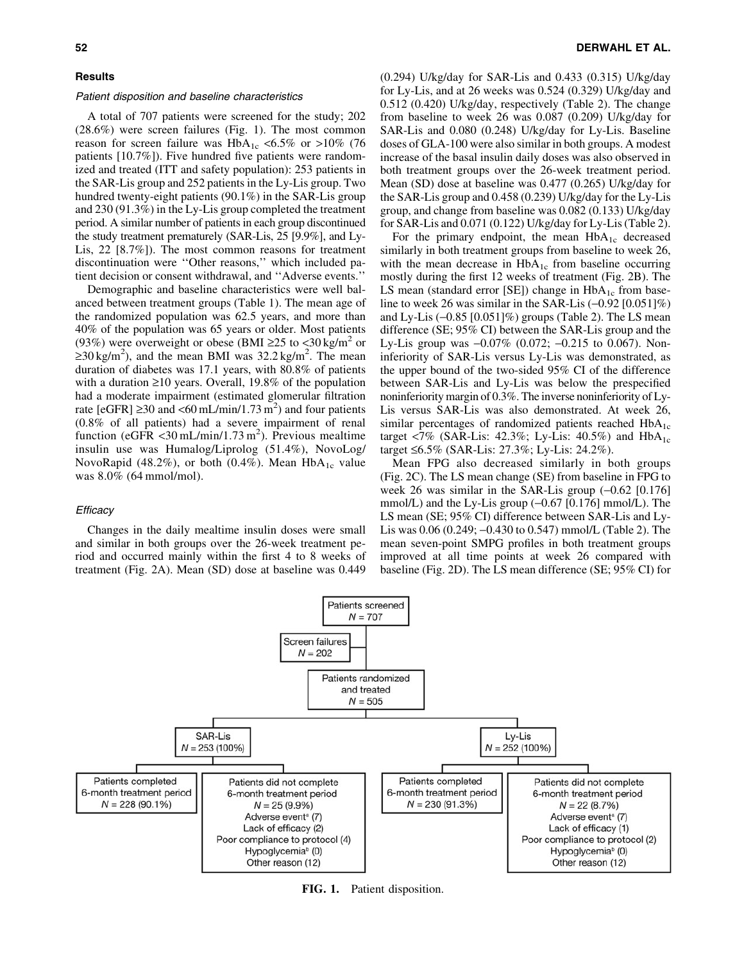# **Results**

#### Patient disposition and baseline characteristics

A total of 707 patients were screened for the study; 202 (28.6%) were screen failures (Fig. 1). The most common reason for screen failure was  $HbA_{1c} < 6.5\%$  or  $>10\%$  (76 patients [10.7%]). Five hundred five patients were randomized and treated (ITT and safety population): 253 patients in the SAR-Lis group and 252 patients in the Ly-Lis group. Two hundred twenty-eight patients (90.1%) in the SAR-Lis group and 230 (91.3%) in the Ly-Lis group completed the treatment period. A similar number of patients in each group discontinued the study treatment prematurely (SAR-Lis, 25 [9.9%], and Ly-Lis, 22 [8.7%]). The most common reasons for treatment discontinuation were ''Other reasons,'' which included patient decision or consent withdrawal, and ''Adverse events.''

Demographic and baseline characteristics were well balanced between treatment groups (Table 1). The mean age of the randomized population was 62.5 years, and more than 40% of the population was 65 years or older. Most patients (93%) were overweight or obese (BMI  $\geq$ 25 to <30 kg/m<sup>2</sup> or  $\geq$ 30 kg/m<sup>2</sup>), and the mean BMI was 32.2 kg/m<sup>2</sup>. The mean duration of diabetes was 17.1 years, with 80.8% of patients with a duration  $\geq 10$  years. Overall, 19.8% of the population had a moderate impairment (estimated glomerular filtration rate [eGFR]  $\geq$ 30 and <60 mL/min/1.73 m<sup>2</sup>) and four patients (0.8% of all patients) had a severe impairment of renal function (eGFR <30 mL/min/1.73 m<sup>2</sup>). Previous mealtime insulin use was Humalog/Liprolog (51.4%), NovoLog/ NovoRapid (48.2%), or both (0.4%). Mean  $HbA_{1c}$  value was 8.0% (64 mmol/mol).

## **Efficacy**

Changes in the daily mealtime insulin doses were small and similar in both groups over the 26-week treatment period and occurred mainly within the first 4 to 8 weeks of treatment (Fig. 2A). Mean (SD) dose at baseline was 0.449 (0.294) U/kg/day for SAR-Lis and 0.433 (0.315) U/kg/day for Ly-Lis, and at 26 weeks was 0.524 (0.329) U/kg/day and 0.512 (0.420) U/kg/day, respectively (Table 2). The change from baseline to week 26 was 0.087 (0.209) U/kg/day for SAR-Lis and 0.080 (0.248) U/kg/day for Ly-Lis. Baseline doses of GLA-100 were also similar in both groups. A modest increase of the basal insulin daily doses was also observed in both treatment groups over the 26-week treatment period. Mean (SD) dose at baseline was 0.477 (0.265) U/kg/day for the SAR-Lis group and 0.458 (0.239) U/kg/day for the Ly-Lis group, and change from baseline was 0.082 (0.133) U/kg/day for SAR-Lis and 0.071 (0.122) U/kg/day for Ly-Lis (Table 2).

For the primary endpoint, the mean  $HbA_{1c}$  decreased similarly in both treatment groups from baseline to week 26, with the mean decrease in  $HbA_{1c}$  from baseline occurring mostly during the first 12 weeks of treatment (Fig. 2B). The LS mean (standard error [SE]) change in  $HbA_{1c}$  from baseline to week 26 was similar in the SAR-Lis  $(-0.92 \, [0.051]\%)$ and Ly-Lis  $(-0.85 \, [0.051]\%)$  groups (Table 2). The LS mean difference (SE; 95% CI) between the SAR-Lis group and the Ly-Lis group was  $-0.07\%$  (0.072;  $-0.215$  to 0.067). Noninferiority of SAR-Lis versus Ly-Lis was demonstrated, as the upper bound of the two-sided 95% CI of the difference between SAR-Lis and Ly-Lis was below the prespecified noninferiority margin of 0.3%. The inverse noninferiority of Ly-Lis versus SAR-Lis was also demonstrated. At week 26, similar percentages of randomized patients reached  $HbA_{1c}$ target <7% (SAR-Lis: 42.3%; Ly-Lis: 40.5%) and  $HbA_{1c}$ target £6.5% (SAR-Lis: 27.3%; Ly-Lis: 24.2%).

Mean FPG also decreased similarly in both groups (Fig. 2C). The LS mean change (SE) from baseline in FPG to week 26 was similar in the SAR-Lis group  $(-0.62 \; [0.176])$ mmol/L) and the Ly-Lis group  $(-0.67 \, [0.176] \, \text{mmol/L})$ . The LS mean (SE; 95% CI) difference between SAR-Lis and Ly-Lis was 0.06 (0.249; -0.430 to 0.547) mmol/L (Table 2). The mean seven-point SMPG profiles in both treatment groups improved at all time points at week 26 compared with baseline (Fig. 2D). The LS mean difference (SE; 95% CI) for



FIG. 1. Patient disposition.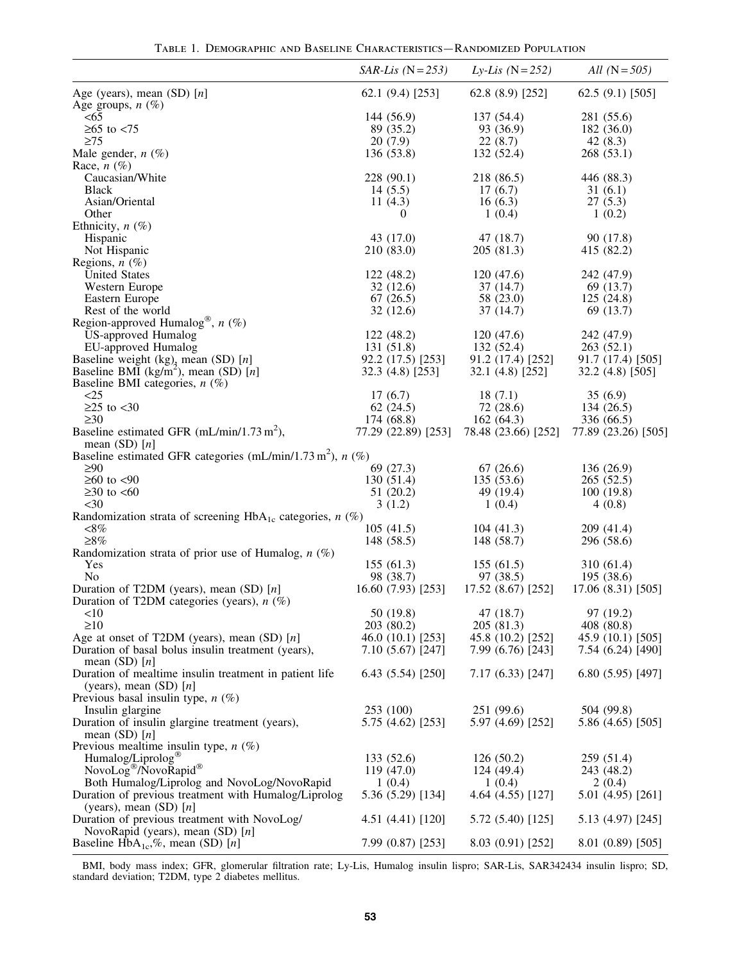|  |  | TABLE 1. DEMOGRAPHIC AND BASELINE CHARACTERISTICS—RANDOMIZED POPULATION |  |
|--|--|-------------------------------------------------------------------------|--|
|  |  |                                                                         |  |

|                                                                                                     | $SAR-Lis$ (N = 253)         | <i>Ly-Lis</i> ( $N = 252$ ) | <i>All</i> $(N = 505)$      |
|-----------------------------------------------------------------------------------------------------|-----------------------------|-----------------------------|-----------------------------|
| Age (years), mean $(SD)$ [n]                                                                        | 62.1 (9.4) [253]            | 62.8 (8.9) [252]            | 62.5 (9.1) [505]            |
| Age groups, $n$ (%)                                                                                 |                             |                             |                             |
| $<$ 65                                                                                              | 144 (56.9)                  | 137 (54.4)                  | 281 (55.6)                  |
| $≥65$ to $≤75$                                                                                      | 89 (35.2)                   | 93 (36.9)                   | 182(36.0)                   |
| $\geq$ 75                                                                                           | 20(7.9)                     | 22(8.7)                     | 42 $(8.3)$                  |
| Male gender, $n$ $(\%)$                                                                             | 136 (53.8)                  | 132 (52.4)                  | 268(53.1)                   |
| Race, $n$ $(\%)$                                                                                    |                             |                             |                             |
| Caucasian/White                                                                                     | 228 (90.1)                  | 218 (86.5)                  | 446 (88.3)                  |
| <b>Black</b>                                                                                        | 14(5.5)                     | 17(6.7)                     | 31(6.1)                     |
| Asian/Oriental                                                                                      | 11 $(4.3)$                  | 16(6.3)                     | 27(5.3)                     |
| Other                                                                                               | 0                           | 1(0.4)                      | 1(0.2)                      |
| Ethnicity, $n$ $(\%)$                                                                               |                             |                             |                             |
| Hispanic                                                                                            | 43 (17.0)                   | 47(18.7)                    | 90 (17.8)                   |
| Not Hispanic                                                                                        | 210 (83.0)                  | 205 (81.3)                  | 415 (82.2)                  |
| Regions, $n$ $(\%)$                                                                                 |                             |                             |                             |
| <b>United States</b>                                                                                | 122(48.2)                   | 120(47.6)                   | 242 (47.9)                  |
| Western Europe                                                                                      | 32(12.6)                    | 37(14.7)                    | 69 (13.7)                   |
| Eastern Europe<br>Rest of the world                                                                 | 67(26.5)<br>32(12.6)        | 58 (23.0)<br>37(14.7)       | 125(24.8)<br>69 (13.7)      |
| Region-approved Humalog®, $n$ (%)                                                                   |                             |                             |                             |
| <b>US-approved Humalog</b>                                                                          | 122(48.2)                   | 120(47.6)                   | 242 (47.9)                  |
| EU-approved Humalog                                                                                 | 131 (51.8)                  | 132(52.4)                   | 263(52.1)                   |
|                                                                                                     | 92.2 (17.5) [253]           | 91.2 (17.4) [252]           | 91.7 (17.4) [505]           |
| Baseline weight $(kg)$ , mean (SD) [n]<br>Baseline BMI (kg/m <sup>2</sup> ), mean (SD) [n]          | 32.3(4.8)[253]              | 32.1(4.8)[252]              | 32.2 (4.8) [505]            |
| Baseline BMI categories, $n$ (%)                                                                    |                             |                             |                             |
| <25                                                                                                 | 17(6.7)                     | 18(7.1)                     | 35(6.9)                     |
| $\geq$ 25 to <30                                                                                    | 62 $(24.5)$                 | 72 (28.6)                   | 134(26.5)                   |
| $\geq 30$                                                                                           | 174 (68.8)                  | 162(64.3)                   | 336 (66.5)                  |
| Baseline estimated GFR $(mL/min/1.73 m2)$ ,                                                         | 77.29 (22.89) [253]         | 78.48 (23.66) [252]         | 77.89 (23.26) [505]         |
| mean $(SD)$ [ <i>n</i> ]                                                                            |                             |                             |                             |
| Baseline estimated GFR categories (mL/min/1.73 m <sup>2</sup> ), $n$ (%)                            |                             |                             |                             |
| $\geq 90$                                                                                           | 69 (27.3)                   | 67(26.6)                    | 136 (26.9)                  |
| $≥60$ to <90                                                                                        | 130(51.4)                   | 135(53.6)                   | 265(52.5)                   |
| $\geq 30$ to $\lt 60$                                                                               | 51 (20.2)                   | 49 (19.4)                   | 100(19.8)                   |
| $<$ 30                                                                                              | 3(1.2)                      | 1(0.4)                      | 4(0.8)                      |
| Randomization strata of screening $HbA_{1c}$ categories, $n$ (%)                                    |                             |                             |                             |
| $<\!\!8\%$                                                                                          | 105(41.5)                   | 104(41.3)                   | 209 (41.4)                  |
| $\geq 8\%$                                                                                          | 148 (58.5)                  | 148 (58.7)                  | 296 (58.6)                  |
| Randomization strata of prior use of Humalog, $n$ (%)                                               |                             |                             |                             |
| Yes                                                                                                 | 155(61.3)                   | 155(61.5)                   | 310(61.4)                   |
| No                                                                                                  | 98 (38.7)                   | 97 (38.5)                   | 195 (38.6)                  |
| Duration of T2DM (years), mean $(SD)$ [n]                                                           | 16.60 (7.93) [253]          | 17.52 (8.67) [252]          | 17.06 (8.31) [505]          |
| Duration of T2DM categories (years), $n$ (%)                                                        |                             |                             |                             |
| <10                                                                                                 | 50 (19.8)                   | 47 (18.7)                   | 97 (19.2)                   |
| $\geq 10$                                                                                           | 203 (80.2)                  | 205 (81.3)                  | 408 (80.8)                  |
| Age at onset of T2DM (years), mean (SD) $[n]$                                                       | 46.0 (10.1) [253]           | 45.8 (10.2) [252]           | 45.9 (10.1) [505]           |
| Duration of basal bolus insulin treatment (years),                                                  | 7.10 (5.67) [247]           | 7.99 (6.76) [243]           | 7.54 (6.24) [490]           |
| mean $(SD)$ [ <i>n</i> ]                                                                            |                             |                             |                             |
| Duration of mealtime insulin treatment in patient life                                              | 6.43(5.54)[250]             | 7.17(6.33)[247]             | 6.80(5.95)[497]             |
| (years), mean (SD) $[n]$                                                                            |                             |                             |                             |
| Previous basal insulin type, $n$ (%)                                                                |                             |                             |                             |
| Insulin glargine                                                                                    | 253 (100)                   | 251 (99.6)                  | 504 (99.8)                  |
| Duration of insulin glargine treatment (years),                                                     | 5.75 (4.62) [253]           | 5.97 (4.69) [252]           | 5.86 (4.65) [505]           |
| mean $(SD)$ [ <i>n</i> ]                                                                            |                             |                             |                             |
| Previous mealtime insulin type, $n$ (%)<br>Humalog/Liprolog <sup>®</sup>                            | 133(52.6)                   | 126(50.2)                   | 259 (51.4)                  |
| NovoLog <sup>®</sup> /NovoRapid®                                                                    | 119(47.0)                   | 124(49.4)                   | 243 (48.2)                  |
|                                                                                                     |                             |                             |                             |
| Both Humalog/Liprolog and NovoLog/NovoRapid<br>Duration of previous treatment with Humalog/Liprolog | 1(0.4)<br>5.36 (5.29) [134] | 1(0.4)<br>4.64 (4.55) [127] | 2(0.4)<br>5.01 (4.95) [261] |
| (years), mean $(SD)$ [n]                                                                            |                             |                             |                             |
| Duration of previous treatment with NovoLog/                                                        | 4.51 (4.41) [120]           | 5.72 (5.40) [125]           | 5.13 (4.97) [245]           |
| NovoRapid (years), mean $(SD)$ [n]                                                                  |                             |                             |                             |
| Baseline $HbA_{1c}$ ,%, mean (SD) [n]                                                               | 7.99 (0.87) [253]           | 8.03 (0.91) [252]           | $8.01(0.89)$ [505]          |
|                                                                                                     |                             |                             |                             |

BMI, body mass index; GFR, glomerular filtration rate; Ly-Lis, Humalog insulin lispro; SAR-Lis, SAR342434 insulin lispro; SD, standard deviation; T2DM, type 2 diabetes mellitus.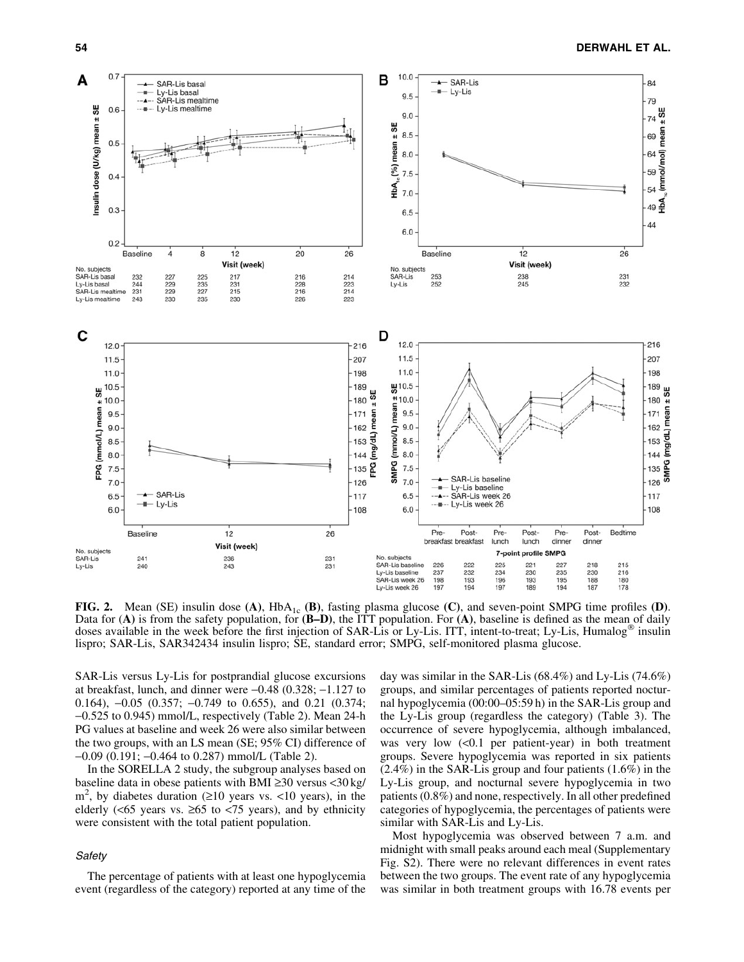

FIG. 2. Mean (SE) insulin dose  $(A)$ , Hb $A_{1c}$  (B), fasting plasma glucose (C), and seven-point SMPG time profiles (D). Data for  $(A)$  is from the safety population, for  $(B-D)$ , the ITT population. For  $(A)$ , baseline is defined as the mean of daily doses available in the week before the first injection of SAR-Lis or Ly-Lis. ITT, intent-to-treat; Ly-Lis, Humalog® insulin lispro; SAR-Lis, SAR342434 insulin lispro; SE, standard error; SMPG, self-monitored plasma glucose.

SAR-Lis versus Ly-Lis for postprandial glucose excursions at breakfast, lunch, and dinner were  $-0.48$  (0.328;  $-1.127$  to 0.164),  $-0.05$  (0.357;  $-0.749$  to 0.655), and 0.21 (0.374; -0.525 to 0.945) mmol/L, respectively (Table 2). Mean 24-h PG values at baseline and week 26 were also similar between the two groups, with an LS mean (SE; 95% CI) difference of -0.09 (0.191; -0.464 to 0.287) mmol/L (Table 2).

In the SORELLA 2 study, the subgroup analyses based on baseline data in obese patients with BMI  $\geq$ 30 versus <30 kg/  $m^2$ , by diabetes duration ( $\geq 10$  years vs. <10 years), in the elderly ( $\leq 65$  years vs.  $\geq 65$  to  $\leq 75$  years), and by ethnicity were consistent with the total patient population.

# **Safety**

The percentage of patients with at least one hypoglycemia event (regardless of the category) reported at any time of the day was similar in the SAR-Lis (68.4%) and Ly-Lis (74.6%) groups, and similar percentages of patients reported nocturnal hypoglycemia (00:00–05:59 h) in the SAR-Lis group and the Ly-Lis group (regardless the category) (Table 3). The occurrence of severe hypoglycemia, although imbalanced, was very low  $\langle 0.1 \rangle$  per patient-year) in both treatment groups. Severe hypoglycemia was reported in six patients (2.4%) in the SAR-Lis group and four patients (1.6%) in the Ly-Lis group, and nocturnal severe hypoglycemia in two patients (0.8%) and none, respectively. In all other predefined categories of hypoglycemia, the percentages of patients were similar with SAR-Lis and Ly-Lis.

Most hypoglycemia was observed between 7 a.m. and midnight with small peaks around each meal (Supplementary Fig. S2). There were no relevant differences in event rates between the two groups. The event rate of any hypoglycemia was similar in both treatment groups with 16.78 events per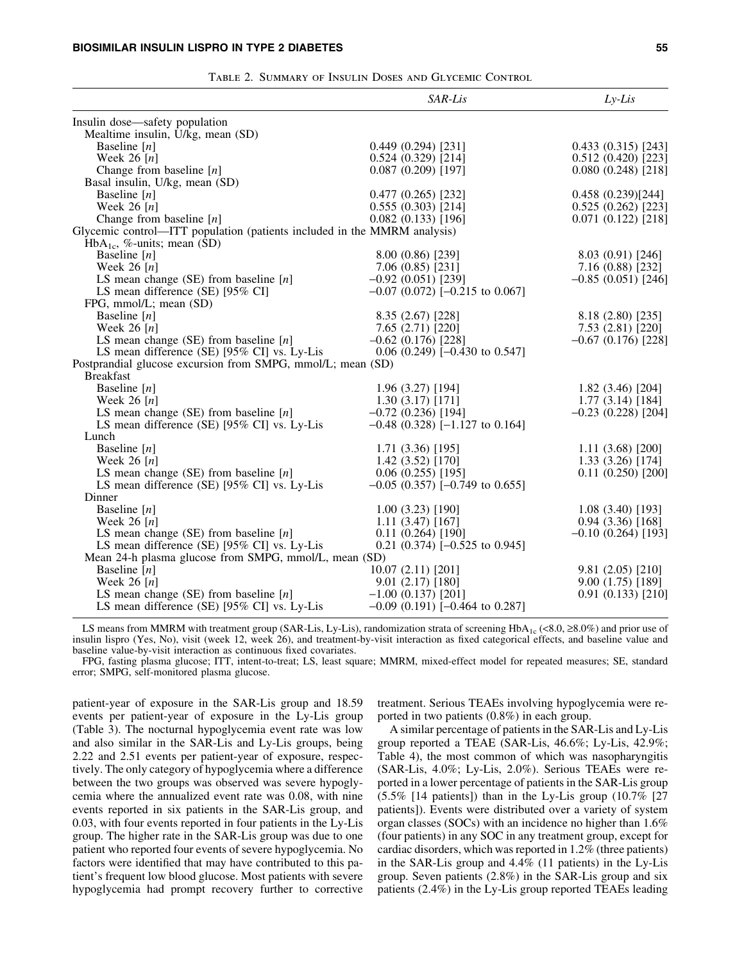|                                                                          | SAR-Lis                              | $Ly-Lis$              |
|--------------------------------------------------------------------------|--------------------------------------|-----------------------|
| Insulin dose—safety population                                           |                                      |                       |
| Mealtime insulin, U/kg, mean (SD)                                        |                                      |                       |
| Baseline $[n]$                                                           | $0.449(0.294)$ [231]                 | 0.433(0.315)[243]     |
| Week $26$ [n]                                                            | $0.524(0.329)$ [214]                 | 0.512(0.420)[223]     |
| Change from baseline $[n]$                                               | 0.087(0.209)[197]                    | 0.080(0.248)[218]     |
| Basal insulin, U/kg, mean (SD)                                           |                                      |                       |
| Baseline $[n]$                                                           | 0.477(0.265)[232]                    | 0.458 (0.239)[244]    |
| Week 26 $[n]$                                                            | 0.555(0.303)[214]                    | 0.525(0.262)[223]     |
| Change from baseline $[n]$                                               | 0.082(0.133)[196]                    | 0.071(0.122)[218]     |
| Glycemic control—ITT population (patients included in the MMRM analysis) |                                      |                       |
| $HbA_{1c}$ , %-units; mean (SD)                                          |                                      |                       |
| Baseline $[n]$                                                           | 8.00 (0.86) [239]                    | 8.03 (0.91) [246]     |
| Week 26 $[n]$                                                            | 7.06(0.85)[231]                      | 7.16(0.88)[232]       |
| LS mean change (SE) from baseline $[n]$                                  | $-0.92$ (0.051) [239]                | $-0.85(0.051)[246]$   |
| LS mean difference (SE) [95% CI]                                         | $-0.07$ (0.072) [ $-0.215$ to 0.067] |                       |
| FPG, mmol/L; mean (SD)                                                   |                                      |                       |
| Baseline $[n]$                                                           | 8.35 (2.67) [228]                    | 8.18(2.80)[235]       |
| Week 26 $[n]$                                                            | 7.65 (2.71) [220]                    | 7.53 (2.81) [220]     |
| LS mean change (SE) from baseline $[n]$                                  | $-0.62$ (0.176) [228]                | $-0.67$ (0.176) [228] |
| LS mean difference (SE) [95% CI] vs. Ly-Lis                              | $0.06$ (0.249) [-0.430 to 0.547]     |                       |
| Postprandial glucose excursion from SMPG, mmol/L; mean (SD)              |                                      |                       |
| <b>Breakfast</b>                                                         |                                      |                       |
| Baseline $[n]$                                                           | 1.96 (3.27) [194]                    | 1.82(3.46)[204]       |
| Week 26 $[n]$                                                            | 1.30(3.17)[171]                      | 1.77(3.14)[184]       |
| LS mean change (SE) from baseline $[n]$                                  | $-0.72$ (0.236) [194]                | $-0.23$ (0.228) [204] |
| LS mean difference (SE) [95% CI] vs. Ly-Lis                              | $-0.48$ (0.328) [-1.127 to 0.164]    |                       |
| Lunch                                                                    |                                      |                       |
| Baseline $[n]$                                                           | 1.71 (3.36) [195]                    | 1.11(3.68)[200]       |
| Week 26 $[n]$                                                            | 1.42(3.52)[170]                      | 1.33 (3.26) [174]     |
| LS mean change (SE) from baseline $[n]$                                  | 0.06(0.255)[195]                     | 0.11(0.250)[200]      |
| LS mean difference (SE) [95% CI] vs. Ly-Lis                              | $-0.05$ (0.357) [ $-0.749$ to 0.655] |                       |
| Dinner                                                                   |                                      |                       |
| Baseline $[n]$                                                           | 1.00(3.23)[190]                      | 1.08(3.40)[193]       |
| Week 26 $[n]$                                                            | 1.11(3.47)[167]                      | 0.94(3.36)[168]       |
| LS mean change (SE) from baseline $[n]$                                  | 0.11(0.264)[190]                     | $-0.10$ (0.264) [193] |
| LS mean difference (SE) [95% CI] vs. Ly-Lis                              | $0.21$ (0.374) [-0.525 to 0.945]     |                       |
| Mean 24-h plasma glucose from SMPG, mmol/L, mean (SD)                    |                                      |                       |
| Baseline $[n]$                                                           | 10.07 (2.11) [201]                   | 9.81(2.05)[210]       |
| Week 26 $[n]$                                                            | 9.01(2.17)[180]                      | 9.00(1.75)[189]       |
| LS mean change (SE) from baseline $[n]$                                  | $-1.00$ (0.137) [201]                | 0.91(0.133)[210]      |
| LS mean difference (SE) [95% CI] vs. Ly-Lis                              | $-0.09$ (0.191) [ $-0.464$ to 0.287] |                       |

Table 2. Summary of Insulin Doses and Glycemic Control

LS means from MMRM with treatment group (SAR-Lis, Ly-Lis), randomization strata of screening  $HbA_{1c}$  (<8.0,  $\geq$ 8.0%) and prior use of insulin lispro (Yes, No), visit (week 12, week 26), and treatment-by-visit interaction as fixed categorical effects, and baseline value and baseline value-by-visit interaction as continuous fixed covariates.

FPG, fasting plasma glucose; ITT, intent-to-treat; LS, least square; MMRM, mixed-effect model for repeated measures; SE, standard error; SMPG, self-monitored plasma glucose.

patient-year of exposure in the SAR-Lis group and 18.59 events per patient-year of exposure in the Ly-Lis group (Table 3). The nocturnal hypoglycemia event rate was low and also similar in the SAR-Lis and Ly-Lis groups, being 2.22 and 2.51 events per patient-year of exposure, respectively. The only category of hypoglycemia where a difference between the two groups was observed was severe hypoglycemia where the annualized event rate was 0.08, with nine events reported in six patients in the SAR-Lis group, and 0.03, with four events reported in four patients in the Ly-Lis group. The higher rate in the SAR-Lis group was due to one patient who reported four events of severe hypoglycemia. No factors were identified that may have contributed to this patient's frequent low blood glucose. Most patients with severe hypoglycemia had prompt recovery further to corrective treatment. Serious TEAEs involving hypoglycemia were reported in two patients (0.8%) in each group.

A similar percentage of patients in the SAR-Lis and Ly-Lis group reported a TEAE (SAR-Lis, 46.6%; Ly-Lis, 42.9%; Table 4), the most common of which was nasopharyngitis (SAR-Lis, 4.0%; Ly-Lis, 2.0%). Serious TEAEs were reported in a lower percentage of patients in the SAR-Lis group (5.5% [14 patients]) than in the Ly-Lis group (10.7% [27 patients]). Events were distributed over a variety of system organ classes (SOCs) with an incidence no higher than 1.6% (four patients) in any SOC in any treatment group, except for cardiac disorders, which was reported in 1.2% (three patients) in the SAR-Lis group and 4.4% (11 patients) in the Ly-Lis group. Seven patients (2.8%) in the SAR-Lis group and six patients (2.4%) in the Ly-Lis group reported TEAEs leading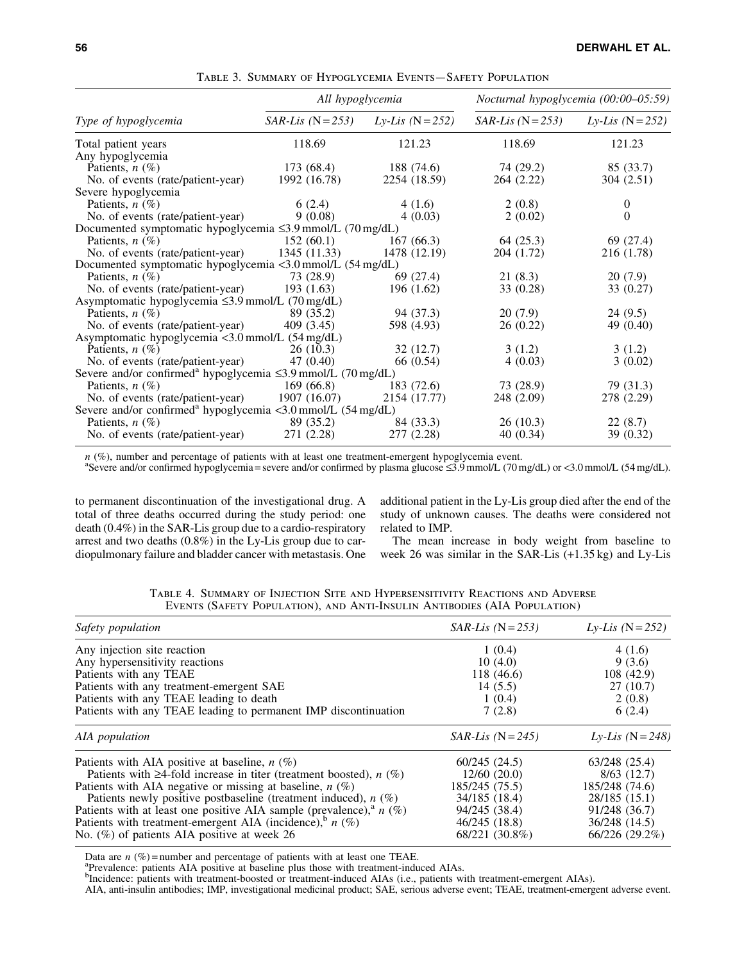|                                                                          | All hypoglycemia    |                             | Nocturnal hypoglycemia (00:00-05:59) |                             |
|--------------------------------------------------------------------------|---------------------|-----------------------------|--------------------------------------|-----------------------------|
| Type of hypoglycemia                                                     | $SAR-Lis$ (N = 253) | <i>Ly-Lis</i> ( $N = 252$ ) | $SAR-Lis$ (N = 253)                  | <i>Ly-Lis</i> ( $N = 252$ ) |
| Total patient years                                                      | 118.69              | 121.23                      | 118.69                               | 121.23                      |
| Any hypoglycemia                                                         |                     |                             |                                      |                             |
| Patients, $n$ (%)                                                        | 173 (68.4)          | 188 (74.6)                  | 74 (29.2)                            | 85 (33.7)                   |
| No. of events (rate/patient-year)                                        | 1992 (16.78)        | 2254 (18.59)                | 264 (2.22)                           | 304 (2.51)                  |
| Severe hypoglycemia                                                      |                     |                             |                                      |                             |
| Patients, $n$ (%)                                                        | 6(2.4)              | 4(1.6)                      | 2(0.8)                               | $\overline{0}$              |
| No. of events (rate/patient-year)                                        | 9(0.08)             | 4(0.03)                     | 2(0.02)                              | $\Omega$                    |
| Documented symptomatic hypoglycemia $\leq$ 3.9 mmol/L (70 mg/dL)         |                     |                             |                                      |                             |
| Patients, $n$ (%)                                                        | 152(60.1)           | 167(66.3)                   | 64(25.3)                             | 69 (27.4)                   |
| No. of events (rate/patient-year)                                        | 1345 (11.33)        | 1478 (12.19)                | 204 (1.72)                           | 216 (1.78)                  |
| Documented symptomatic hypoglycemia <3.0 mmol/L (54 mg/dL)               |                     |                             |                                      |                             |
| Patients, $n(\%)$                                                        | 73 (28.9)           | 69 (27.4)                   | 21(8.3)                              | 20(7.9)                     |
| No. of events (rate/patient-year)                                        | 193(1.63)           | 196 (1.62)                  | 33 (0.28)                            | 33 (0.27)                   |
| Asymptomatic hypoglycemia ≤3.9 mmol/L (70 mg/dL)                         |                     |                             |                                      |                             |
| Patients, $n$ (%)                                                        | 89 (35.2)           | 94 (37.3)                   | 20(7.9)                              | 24(9.5)                     |
| No. of events (rate/patient-year)                                        | 409(3.45)           | 598 (4.93)                  | 26 (0.22)                            | 49 (0.40)                   |
| Asymptomatic hypoglycemia <3.0 mmol/L (54 mg/dL)                         |                     |                             |                                      |                             |
| Patients, $n$ (%)                                                        | 26(10.3)            | 32(12.7)                    | 3(1.2)                               | 3(1.2)                      |
| No. of events (rate/patient-year)                                        | 47 (0.40)           | 66 (0.54)                   | 4(0.03)                              | 3(0.02)                     |
| Severe and/or confirmed <sup>a</sup> hypoglycemia ≤3.9 mmol/L (70 mg/dL) |                     |                             |                                      |                             |
| Patients, $n$ (%)                                                        | 169(66.8)           | 183(72.6)                   | 73 (28.9)                            | 79 (31.3)                   |
| No. of events (rate/patient-year)                                        | 1907 (16.07)        | 2154 (17.77)                | 248 (2.09)                           | 278 (2.29)                  |
| Severe and/or confirmed <sup>a</sup> hypoglycemia <3.0 mmol/L (54 mg/dL) |                     |                             |                                      |                             |
| Patients, $n$ (%)                                                        | 89 (35.2)           | 84 (33.3)                   | 26(10.3)                             | 22(8.7)                     |
| No. of events (rate/patient-year)                                        | 271 (2.28)          | 277 (2.28)                  | 40(0.34)                             | 39 (0.32)                   |

Table 3. Summary of Hypoglycemia Events—Safety Population

*n* (%), number and percentage of patients with at least one treatment-emergent hypoglycemia event.<br><sup>a</sup>Severe and/or confirmed hypoglycemia=severe and/or confirmed by plasma glucose ≤3.9 mmol/L (70 mg/dL) or <3.0 mmol/L (

to permanent discontinuation of the investigational drug. A total of three deaths occurred during the study period: one death (0.4%) in the SAR-Lis group due to a cardio-respiratory arrest and two deaths (0.8%) in the Ly-Lis group due to cardiopulmonary failure and bladder cancer with metastasis. One additional patient in the Ly-Lis group died after the end of the study of unknown causes. The deaths were considered not related to IMP.

The mean increase in body weight from baseline to week 26 was similar in the SAR-Lis (+1.35 kg) and Ly-Lis

| Safety population                                                                 | $SAR-Lis$ (N = 253) | <i>Ly-Lis</i> ( $N = 252$ ) |
|-----------------------------------------------------------------------------------|---------------------|-----------------------------|
| Any injection site reaction                                                       | 1(0.4)              | 4(1.6)                      |
| Any hypersensitivity reactions                                                    | 10(4.0)             | 9(3.6)                      |
| Patients with any TEAE                                                            | 118(46.6)           | 108 (42.9)                  |
| Patients with any treatment-emergent SAE                                          | 14(5.5)             | 27(10.7)                    |
| Patients with any TEAE leading to death                                           | 1(0.4)              | 2(0.8)                      |
| Patients with any TEAE leading to permanent IMP discontinuation                   | 7(2.8)              | 6(2.4)                      |
| AIA population                                                                    | $SAR-Lis$ (N = 245) | <i>Ly-Lis</i> (N = 248)     |
| Patients with AIA positive at baseline, $n$ (%)                                   | 60/245(24.5)        | 63/248 (25.4)               |
| Patients with $\geq$ 4-fold increase in titer (treatment boosted), <i>n</i> (%)   | 12/60(20.0)         | 8/63(12.7)                  |
| Patients with AIA negative or missing at baseline, $n$ (%)                        | 185/245 (75.5)      | 185/248 (74.6)              |
| Patients newly positive postbaseline (treatment induced), $n$ (%)                 | 34/185 (18.4)       | 28/185 (15.1)               |
| Patients with at least one positive AIA sample (prevalence), <sup>a</sup> $n$ (%) | 94/245 (38.4)       | 91/248 (36.7)               |
| Patients with treatment-emergent AIA (incidence), $h_n$ (%)                       | 46/245(18.8)        | 36/248 (14.5)               |
| No. $(\%)$ of patients AIA positive at week 26                                    | 68/221 (30.8%)      | 66/226(29.2%)               |

Table 4. Summary of Injection Site and Hypersensitivity Reactions and Adverse Events (Safety Population), and Anti-Insulin Antibodies (AIA Population)

Data are  $n$  (%) = number and percentage of patients with at least one TEAE.

<sup>a</sup>Prevalence: patients AIA positive at baseline plus those with treatment-induced AIAs.<br><sup>b</sup>Incidence: patients with treatment-boosted or treatment-induced AIAs (i.e., patients with treatment-emergent AIAs).

AIA, anti-insulin antibodies; IMP, investigational medicinal product; SAE, serious adverse event; TEAE, treatment-emergent adverse event.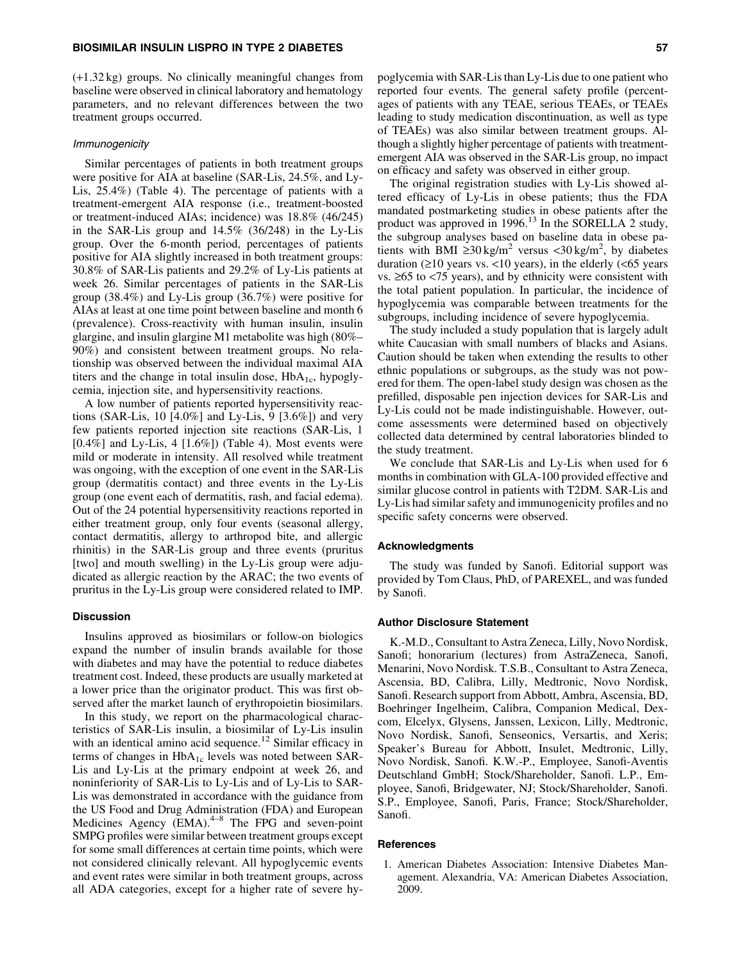(+1.32 kg) groups. No clinically meaningful changes from baseline were observed in clinical laboratory and hematology parameters, and no relevant differences between the two treatment groups occurred.

#### Immunogenicity

Similar percentages of patients in both treatment groups were positive for AIA at baseline (SAR-Lis, 24.5%, and Ly-Lis, 25.4%) (Table 4). The percentage of patients with a treatment-emergent AIA response (i.e., treatment-boosted or treatment-induced AIAs; incidence) was 18.8% (46/245) in the SAR-Lis group and 14.5% (36/248) in the Ly-Lis group. Over the 6-month period, percentages of patients positive for AIA slightly increased in both treatment groups: 30.8% of SAR-Lis patients and 29.2% of Ly-Lis patients at week 26. Similar percentages of patients in the SAR-Lis group (38.4%) and Ly-Lis group (36.7%) were positive for AIAs at least at one time point between baseline and month 6 (prevalence). Cross-reactivity with human insulin, insulin glargine, and insulin glargine M1 metabolite was high (80%– 90%) and consistent between treatment groups. No relationship was observed between the individual maximal AIA titers and the change in total insulin dose,  $HbA_{1c}$ , hypoglycemia, injection site, and hypersensitivity reactions.

A low number of patients reported hypersensitivity reactions (SAR-Lis, 10 [4.0%] and Ly-Lis, 9 [3.6%]) and very few patients reported injection site reactions (SAR-Lis, 1  $[0.4\%]$  and Ly-Lis, 4  $[1.6\%]$ ) (Table 4). Most events were mild or moderate in intensity. All resolved while treatment was ongoing, with the exception of one event in the SAR-Lis group (dermatitis contact) and three events in the Ly-Lis group (one event each of dermatitis, rash, and facial edema). Out of the 24 potential hypersensitivity reactions reported in either treatment group, only four events (seasonal allergy, contact dermatitis, allergy to arthropod bite, and allergic rhinitis) in the SAR-Lis group and three events (pruritus [two] and mouth swelling) in the Ly-Lis group were adjudicated as allergic reaction by the ARAC; the two events of pruritus in the Ly-Lis group were considered related to IMP.

# Discussion

Insulins approved as biosimilars or follow-on biologics expand the number of insulin brands available for those with diabetes and may have the potential to reduce diabetes treatment cost. Indeed, these products are usually marketed at a lower price than the originator product. This was first observed after the market launch of erythropoietin biosimilars.

In this study, we report on the pharmacological characteristics of SAR-Lis insulin, a biosimilar of Ly-Lis insulin with an identical amino acid sequence.<sup>12</sup> Similar efficacy in terms of changes in  $HbA_{1c}$  levels was noted between SAR-Lis and Ly-Lis at the primary endpoint at week 26, and noninferiority of SAR-Lis to Ly-Lis and of Ly-Lis to SAR-Lis was demonstrated in accordance with the guidance from the US Food and Drug Administration (FDA) and European Medicines Agency  $(EMA)$ <sup> $+8$ </sup> The FPG and seven-point SMPG profiles were similar between treatment groups except for some small differences at certain time points, which were not considered clinically relevant. All hypoglycemic events and event rates were similar in both treatment groups, across all ADA categories, except for a higher rate of severe hypoglycemia with SAR-Lis than Ly-Lis due to one patient who reported four events. The general safety profile (percentages of patients with any TEAE, serious TEAEs, or TEAEs leading to study medication discontinuation, as well as type of TEAEs) was also similar between treatment groups. Although a slightly higher percentage of patients with treatmentemergent AIA was observed in the SAR-Lis group, no impact on efficacy and safety was observed in either group.

The original registration studies with Ly-Lis showed altered efficacy of Ly-Lis in obese patients; thus the FDA mandated postmarketing studies in obese patients after the product was approved in  $1996$ <sup>13</sup> In the SORELLA 2 study, the subgroup analyses based on baseline data in obese patients with BMI  $\geq 30 \text{ kg/m}^2$  versus <30 kg/m<sup>2</sup>, by diabetes duration  $(≥10 \text{ years} \text{ vs.} < 10 \text{ years})$ , in the elderly  $(≤65 \text{ years})$ vs.  $\geq 65$  to  $\lt 75$  years), and by ethnicity were consistent with the total patient population. In particular, the incidence of hypoglycemia was comparable between treatments for the subgroups, including incidence of severe hypoglycemia.

The study included a study population that is largely adult white Caucasian with small numbers of blacks and Asians. Caution should be taken when extending the results to other ethnic populations or subgroups, as the study was not powered for them. The open-label study design was chosen as the prefilled, disposable pen injection devices for SAR-Lis and Ly-Lis could not be made indistinguishable. However, outcome assessments were determined based on objectively collected data determined by central laboratories blinded to the study treatment.

We conclude that SAR-Lis and Ly-Lis when used for 6 months in combination with GLA-100 provided effective and similar glucose control in patients with T2DM. SAR-Lis and Ly-Lis had similar safety and immunogenicity profiles and no specific safety concerns were observed.

#### Acknowledgments

The study was funded by Sanofi. Editorial support was provided by Tom Claus, PhD, of PAREXEL, and was funded by Sanofi.

## Author Disclosure Statement

K.-M.D., Consultant to Astra Zeneca, Lilly, Novo Nordisk, Sanofi; honorarium (lectures) from AstraZeneca, Sanofi, Menarini, Novo Nordisk. T.S.B., Consultant to Astra Zeneca, Ascensia, BD, Calibra, Lilly, Medtronic, Novo Nordisk, Sanofi. Research support from Abbott, Ambra, Ascensia, BD, Boehringer Ingelheim, Calibra, Companion Medical, Dexcom, Elcelyx, Glysens, Janssen, Lexicon, Lilly, Medtronic, Novo Nordisk, Sanofi, Senseonics, Versartis, and Xeris; Speaker's Bureau for Abbott, Insulet, Medtronic, Lilly, Novo Nordisk, Sanofi. K.W.-P., Employee, Sanofi-Aventis Deutschland GmbH; Stock/Shareholder, Sanofi. L.P., Employee, Sanofi, Bridgewater, NJ; Stock/Shareholder, Sanofi. S.P., Employee, Sanofi, Paris, France; Stock/Shareholder, Sanofi.

#### **References**

1. American Diabetes Association: Intensive Diabetes Management. Alexandria, VA: American Diabetes Association, 2009.